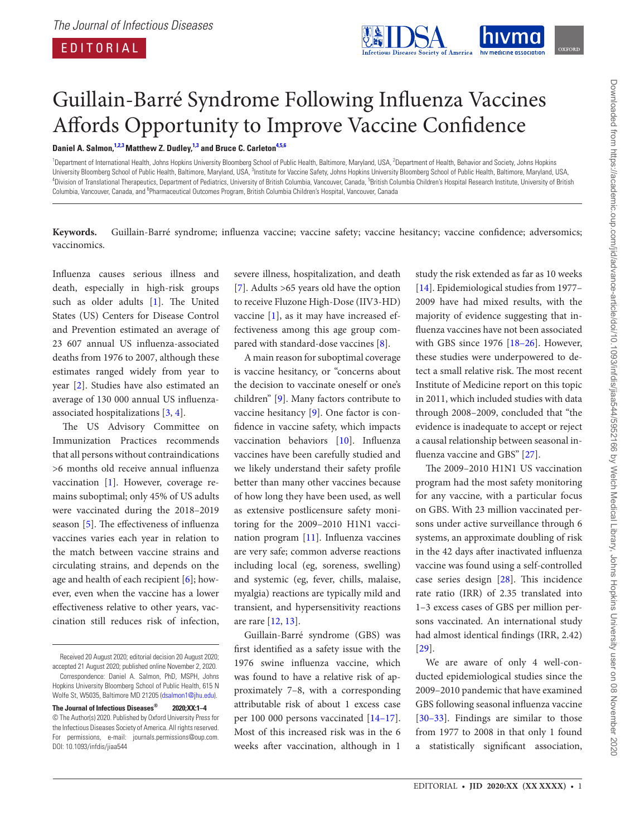EDITORIAL



## Guillain-Barré Syndrome Following Influenza Vaccines Affords Opportunity to Improve Vaccine Confidence

**Daniel A. Salmon, [1](#page-0-0)[,2,](#page-0-1)[3](#page-0-2) Matthew Z. Dudley, [1,](#page-0-0)[3](#page-0-2) and Bruce C. Carleton[4,](#page-0-3)[5](#page-0-4),[6](#page-0-5)**

<span id="page-0-5"></span><span id="page-0-4"></span><span id="page-0-3"></span><span id="page-0-2"></span><span id="page-0-1"></span><span id="page-0-0"></span><sup>1</sup>Department of International Health, Johns Hopkins University Bloomberg School of Public Health, Baltimore, Maryland, USA, <sup>2</sup>Department of Health, Behavior and Society, Johns Hopkins University Bloomberg School of Public Health, Baltimore, Maryland, USA, <sup>3</sup>Institute for Vaccine Safety, Johns Hopkins University Bloomberg School of Public Health, Baltimore, Maryland, USA,<br><sup>4</sup>Division of Translational Th Division of Translational Therapeutics, Department of Pediatrics, University of British Columbia, Vancouver, Canada, <sup>5</sup>British Columbia Children's Hospital Research Institute, University of British Columbia, Vancouver, Canada, and <sup>6</sup>Pharmaceutical Outcomes Program, British Columbia Children's Hospital, Vancouver, Canada

**Keywords.** Guillain-Barré syndrome; influenza vaccine; vaccine safety; vaccine hesitancy; vaccine confidence; adversomics; vaccinomics.

Influenza causes serious illness and death, especially in high-risk groups such as older adults [\[1\]](#page-2-0). The United States (US) Centers for Disease Control and Prevention estimated an average of 23 607 annual US influenza-associated deaths from 1976 to 2007, although these estimates ranged widely from year to year [[2](#page-2-1)]. Studies have also estimated an average of 130 000 annual US influenzaassociated hospitalizations [[3](#page-2-2), [4](#page-2-3)].

The US Advisory Committee on Immunization Practices recommends that all persons without contraindications >6 months old receive annual influenza vaccination [[1](#page-2-0)]. However, coverage remains suboptimal; only 45% of US adults were vaccinated during the 2018–2019 season [\[5\]](#page-2-4). The effectiveness of influenza vaccines varies each year in relation to the match between vaccine strains and circulating strains, and depends on the age and health of each recipient [\[6\]](#page-2-5); however, even when the vaccine has a lower effectiveness relative to other years, vaccination still reduces risk of infection,

severe illness, hospitalization, and death [\[7\]](#page-2-6). Adults >65 years old have the option to receive Fluzone High-Dose (IIV3-HD) vaccine [[1](#page-2-0)], as it may have increased effectiveness among this age group compared with standard-dose vaccines [\[8\]](#page-2-7).

A main reason for suboptimal coverage is vaccine hesitancy, or "concerns about the decision to vaccinate oneself or one's children" [[9](#page-2-8)]. Many factors contribute to vaccine hesitancy [[9\]](#page-2-8). One factor is confidence in vaccine safety, which impacts vaccination behaviors [\[10](#page-2-9)]. Influenza vaccines have been carefully studied and we likely understand their safety profile better than many other vaccines because of how long they have been used, as well as extensive postlicensure safety monitoring for the 2009–2010 H1N1 vaccination program [\[11\]](#page-2-10). Influenza vaccines are very safe; common adverse reactions including local (eg, soreness, swelling) and systemic (eg, fever, chills, malaise, myalgia) reactions are typically mild and transient, and hypersensitivity reactions are rare [\[12](#page-2-11), [13\]](#page-2-12).

Guillain-Barré syndrome (GBS) was first identified as a safety issue with the 1976 swine influenza vaccine, which was found to have a relative risk of approximately 7–8, with a corresponding attributable risk of about 1 excess case per 100 000 persons vaccinated [\[14](#page-2-13)[–17\]](#page-2-14). Most of this increased risk was in the 6 weeks after vaccination, although in 1

study the risk extended as far as 10 weeks [\[14](#page-2-13)]. Epidemiological studies from 1977– 2009 have had mixed results, with the majority of evidence suggesting that influenza vaccines have not been associated with GBS since 1976 [\[18](#page-2-15)[–26](#page-3-0)]. However, these studies were underpowered to detect a small relative risk. The most recent Institute of Medicine report on this topic in 2011, which included studies with data through 2008–2009, concluded that "the evidence is inadequate to accept or reject a causal relationship between seasonal in-fluenza vaccine and GBS" [\[27](#page-3-1)].

The 2009–2010 H1N1 US vaccination program had the most safety monitoring for any vaccine, with a particular focus on GBS. With 23 million vaccinated persons under active surveillance through 6 systems, an approximate doubling of risk in the 42 days after inactivated influenza vaccine was found using a self-controlled case series design [\[28](#page-3-2)]. This incidence rate ratio (IRR) of 2.35 translated into 1–3 excess cases of GBS per million persons vaccinated. An international study had almost identical findings (IRR, 2.42) [\[29](#page-3-3)].

We are aware of only 4 well-conducted epidemiological studies since the 2009–2010 pandemic that have examined GBS following seasonal influenza vaccine [\[30](#page-3-4)[–33](#page-3-5)]. Findings are similar to those from 1977 to 2008 in that only 1 found a statistically significant association,

Received 20 August 2020; editorial decision 20 August 2020; accepted 21 August 2020; published online November 2, 2020. Correspondence: Daniel A. Salmon, PhD, MSPH, Johns

Hopkins University Bloomberg School of Public Health, 615 N Wolfe St, W5035, Baltimore MD 21205 ([dsalmon1@jhu.edu](mailto:dsalmon1@jhu.edu?subject=)). **The Journal of Infectious Diseases® 2020;XX:1–4**

<sup>©</sup> The Author(s) 2020. Published by Oxford University Press for the Infectious Diseases Society of America. All rights reserved. For permissions, e-mail: journals.permissions@oup.com. DOI: 10.1093/infdis/jiaa544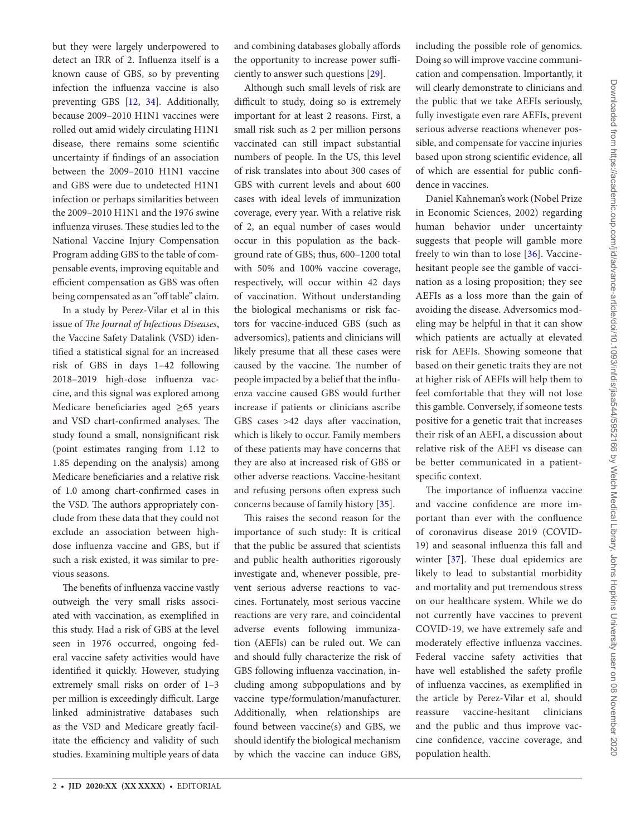but they were largely underpowered to detect an IRR of 2. Influenza itself is a known cause of GBS, so by preventing infection the influenza vaccine is also preventing GBS [\[12](#page-2-11), [34\]](#page-3-6). Additionally, because 2009–2010 H1N1 vaccines were rolled out amid widely circulating H1N1 disease, there remains some scientific uncertainty if findings of an association between the 2009–2010 H1N1 vaccine and GBS were due to undetected H1N1 infection or perhaps similarities between the 2009–2010 H1N1 and the 1976 swine influenza viruses. These studies led to the National Vaccine Injury Compensation Program adding GBS to the table of compensable events, improving equitable and efficient compensation as GBS was often being compensated as an "off table" claim.

In a study by Perez-Vilar et al in this issue of *The Journal of Infectious Diseases*, the Vaccine Safety Datalink (VSD) identified a statistical signal for an increased risk of GBS in days 1–42 following 2018–2019 high-dose influenza vaccine, and this signal was explored among Medicare beneficiaries aged ≥65 years and VSD chart-confirmed analyses. The study found a small, nonsignificant risk (point estimates ranging from 1.12 to 1.85 depending on the analysis) among Medicare beneficiaries and a relative risk of 1.0 among chart-confirmed cases in the VSD. The authors appropriately conclude from these data that they could not exclude an association between highdose influenza vaccine and GBS, but if such a risk existed, it was similar to previous seasons.

The benefits of influenza vaccine vastly outweigh the very small risks associated with vaccination, as exemplified in this study. Had a risk of GBS at the level seen in 1976 occurred, ongoing federal vaccine safety activities would have identified it quickly. However, studying extremely small risks on order of 1–3 per million is exceedingly difficult. Large linked administrative databases such as the VSD and Medicare greatly facilitate the efficiency and validity of such studies. Examining multiple years of data and combining databases globally affords the opportunity to increase power sufficiently to answer such questions [\[29](#page-3-3)].

Although such small levels of risk are difficult to study, doing so is extremely important for at least 2 reasons. First, a small risk such as 2 per million persons vaccinated can still impact substantial numbers of people. In the US, this level of risk translates into about 300 cases of GBS with current levels and about 600 cases with ideal levels of immunization coverage, every year. With a relative risk of 2, an equal number of cases would occur in this population as the background rate of GBS; thus, 600–1200 total with 50% and 100% vaccine coverage, respectively, will occur within 42 days of vaccination. Without understanding the biological mechanisms or risk factors for vaccine-induced GBS (such as adversomics), patients and clinicians will likely presume that all these cases were caused by the vaccine. The number of people impacted by a belief that the influenza vaccine caused GBS would further increase if patients or clinicians ascribe GBS cases >42 days after vaccination, which is likely to occur. Family members of these patients may have concerns that they are also at increased risk of GBS or other adverse reactions. Vaccine-hesitant and refusing persons often express such concerns because of family history [\[35](#page-3-7)].

This raises the second reason for the importance of such study: It is critical that the public be assured that scientists and public health authorities rigorously investigate and, whenever possible, prevent serious adverse reactions to vaccines. Fortunately, most serious vaccine reactions are very rare, and coincidental adverse events following immunization (AEFIs) can be ruled out. We can and should fully characterize the risk of GBS following influenza vaccination, including among subpopulations and by vaccine type/formulation/manufacturer. Additionally, when relationships are found between vaccine(s) and GBS, we should identify the biological mechanism by which the vaccine can induce GBS,

including the possible role of genomics. Doing so will improve vaccine communication and compensation. Importantly, it will clearly demonstrate to clinicians and the public that we take AEFIs seriously, fully investigate even rare AEFIs, prevent serious adverse reactions whenever possible, and compensate for vaccine injuries based upon strong scientific evidence, all of which are essential for public confidence in vaccines.

Daniel Kahneman's work (Nobel Prize in Economic Sciences, 2002) regarding human behavior under uncertainty suggests that people will gamble more freely to win than to lose [[36\]](#page-3-8). Vaccinehesitant people see the gamble of vaccination as a losing proposition; they see AEFIs as a loss more than the gain of avoiding the disease. Adversomics modeling may be helpful in that it can show which patients are actually at elevated risk for AEFIs. Showing someone that based on their genetic traits they are not at higher risk of AEFIs will help them to feel comfortable that they will not lose this gamble. Conversely, if someone tests positive for a genetic trait that increases their risk of an AEFI, a discussion about relative risk of the AEFI vs disease can be better communicated in a patientspecific context.

The importance of influenza vaccine and vaccine confidence are more important than ever with the confluence of coronavirus disease 2019 (COVID-19) and seasonal influenza this fall and winter [[37](#page-3-9)]. These dual epidemics are likely to lead to substantial morbidity and mortality and put tremendous stress on our healthcare system. While we do not currently have vaccines to prevent COVID-19, we have extremely safe and moderately effective influenza vaccines. Federal vaccine safety activities that have well established the safety profile of influenza vaccines, as exemplified in the article by Perez-Vilar et al, should reassure vaccine-hesitant clinicians and the public and thus improve vaccine confidence, vaccine coverage, and population health.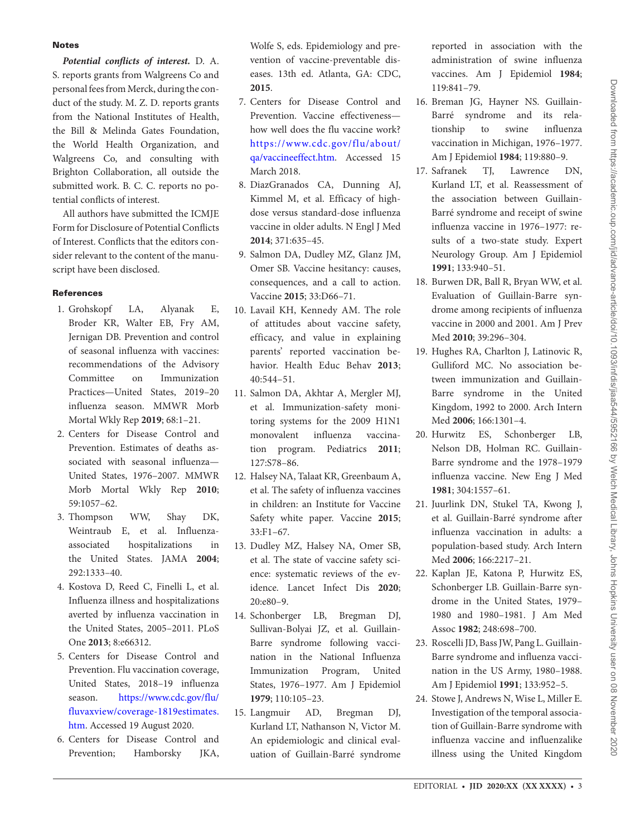## Notes

*Potential conflicts of interest.* D. A. S. reports grants from Walgreens Co and personal fees from Merck, during the conduct of the study. M. Z. D. reports grants from the National Institutes of Health, the Bill & Melinda Gates Foundation, the World Health Organization, and Walgreens Co, and consulting with Brighton Collaboration, all outside the submitted work. B. C. C. reports no potential conflicts of interest.

All authors have submitted the ICMJE Form for Disclosure of Potential Conflicts of Interest. Conflicts that the editors consider relevant to the content of the manuscript have been disclosed.

## **References**

- <span id="page-2-0"></span>1. Grohskopf LA, Alyanak E, Broder KR, Walter EB, Fry AM, Jernigan DB. Prevention and control of seasonal influenza with vaccines: recommendations of the Advisory Committee on Immunization Practices—United States, 2019–20 influenza season. MMWR Morb Mortal Wkly Rep **2019**; 68:1–21.
- <span id="page-2-1"></span>2. Centers for Disease Control and Prevention. Estimates of deaths associated with seasonal influenza— United States, 1976–2007. MMWR Morb Mortal Wkly Rep **2010**; 59:1057–62.
- <span id="page-2-2"></span>3. Thompson WW, Shay DK, Weintraub E, et al. Influenzaassociated hospitalizations in the United States. JAMA **2004**; 292:1333–40.
- <span id="page-2-3"></span>4. Kostova D, Reed C, Finelli L, et al. Influenza illness and hospitalizations averted by influenza vaccination in the United States, 2005–2011. PLoS One **2013**; 8:e66312.
- <span id="page-2-4"></span>5. Centers for Disease Control and Prevention. Flu vaccination coverage, United States, 2018–19 influenza season. [https://www.cdc.gov/flu/](https://www.cdc.gov/flu/fluvaxview/coverage-1819estimates.htm) [fluvaxview/coverage-1819estimates.](https://www.cdc.gov/flu/fluvaxview/coverage-1819estimates.htm) [htm.](https://www.cdc.gov/flu/fluvaxview/coverage-1819estimates.htm) Accessed 19 August 2020.
- <span id="page-2-5"></span>6. Centers for Disease Control and Prevention; Hamborsky JKA,

Wolfe S, eds. Epidemiology and prevention of vaccine-preventable diseases. 13th ed. Atlanta, GA: CDC, **2015**.

- <span id="page-2-6"></span>7. Centers for Disease Control and Prevention. Vaccine effectiveness how well does the flu vaccine work? [https://www.cdc.gov/flu/about/](https://www.cdc.gov/flu/about/qa/vaccineeffect.htm) [qa/vaccineeffect.htm](https://www.cdc.gov/flu/about/qa/vaccineeffect.htm). Accessed 15 March 2018.
- <span id="page-2-7"></span>8. DiazGranados CA, Dunning AJ, Kimmel M, et al. Efficacy of highdose versus standard-dose influenza vaccine in older adults. N Engl J Med **2014**; 371:635–45.
- <span id="page-2-8"></span>9. Salmon DA, Dudley MZ, Glanz JM, Omer SB. Vaccine hesitancy: causes, consequences, and a call to action. Vaccine **2015**; 33:D66–71.
- <span id="page-2-9"></span>10. Lavail KH, Kennedy AM. The role of attitudes about vaccine safety, efficacy, and value in explaining parents' reported vaccination behavior. Health Educ Behav **2013**; 40:544–51.
- <span id="page-2-10"></span>11. Salmon DA, Akhtar A, Mergler MJ, et al. Immunization-safety monitoring systems for the 2009 H1N1 monovalent influenza vaccination program. Pediatrics **2011**; 127:S78–86.
- <span id="page-2-11"></span>12. Halsey NA, Talaat KR, Greenbaum A, et al. The safety of influenza vaccines in children: an Institute for Vaccine Safety white paper. Vaccine **2015**; 33:F1–67.
- <span id="page-2-12"></span>13. Dudley MZ, Halsey NA, Omer SB, et al. The state of vaccine safety science: systematic reviews of the evidence. Lancet Infect Dis **2020**; 20:e80–9.
- <span id="page-2-13"></span>14. Schonberger LB, Bregman DJ, Sullivan-Bolyai JZ, et al. Guillain-Barre syndrome following vaccination in the National Influenza Immunization Program, United States, 1976–1977. Am J Epidemiol **1979**; 110:105–23.
- 15. Langmuir AD, Bregman DJ, Kurland LT, Nathanson N, Victor M. An epidemiologic and clinical evaluation of Guillain-Barré syndrome

reported in association with the administration of swine influenza vaccines. Am J Epidemiol **1984**; 119:841–79.

- 16. Breman JG, Hayner NS. Guillain-Barré syndrome and its relationship to swine influenza vaccination in Michigan, 1976–1977. Am J Epidemiol **1984**; 119:880–9.
- <span id="page-2-14"></span>17. Safranek TJ, Lawrence DN, Kurland LT, et al. Reassessment of the association between Guillain-Barré syndrome and receipt of swine influenza vaccine in 1976–1977: results of a two-state study. Expert Neurology Group. Am J Epidemiol **1991**; 133:940–51.
- <span id="page-2-15"></span>18. Burwen DR, Ball R, Bryan WW, et al. Evaluation of Guillain-Barre syndrome among recipients of influenza vaccine in 2000 and 2001. Am J Prev Med **2010**; 39:296–304.
- 19. Hughes RA, Charlton J, Latinovic R, Gulliford MC. No association between immunization and Guillain-Barre syndrome in the United Kingdom, 1992 to 2000. Arch Intern Med **2006**; 166:1301–4.
- 20. Hurwitz ES, Schonberger LB, Nelson DB, Holman RC. Guillain-Barre syndrome and the 1978–1979 influenza vaccine. New Eng J Med **1981**; 304:1557–61.
- 21. Juurlink DN, Stukel TA, Kwong J, et al. Guillain-Barré syndrome after influenza vaccination in adults: a population-based study. Arch Intern Med **2006**; 166:2217–21.
- 22. Kaplan JE, Katona P, Hurwitz ES, Schonberger LB. Guillain-Barre syndrome in the United States, 1979– 1980 and 1980–1981. J Am Med Assoc **1982**; 248:698–700.
- 23. Roscelli JD, Bass JW, Pang L. Guillain-Barre syndrome and influenza vaccination in the US Army, 1980–1988. Am J Epidemiol **1991**; 133:952–5.
- 24. Stowe J, Andrews N, Wise L, Miller E. Investigation of the temporal association of Guillain-Barre syndrome with influenza vaccine and influenzalike illness using the United Kingdom